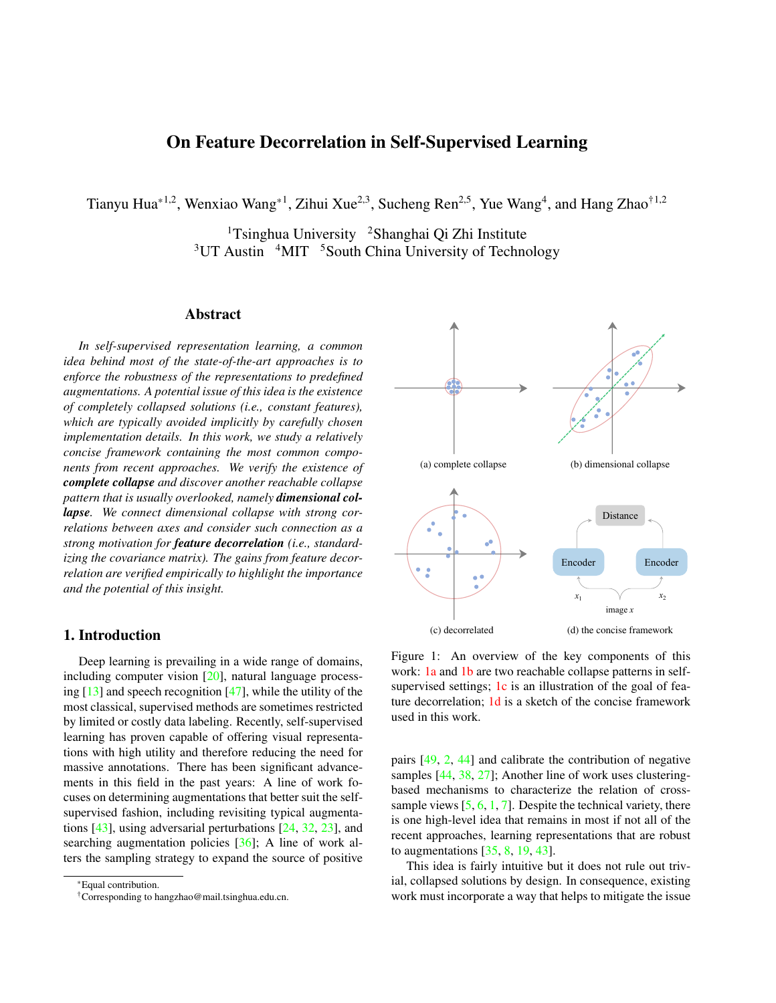# On Feature Decorrelation in Self-Supervised Learning

<span id="page-0-4"></span>Tianyu Hua\*<sup>1,2</sup>, Wenxiao Wang\*<sup>1</sup>, Zihui Xue<sup>2,3</sup>, Sucheng Ren<sup>2,5</sup>, Yue Wang<sup>4</sup>, and Hang Zhao<sup>†1,2</sup>

<sup>1</sup>Tsinghua University <sup>2</sup>Shanghai Qi Zhi Institute  $3$ UT Austin  $4$ MIT  $5$ South China University of Technology

# Abstract

*In self-supervised representation learning, a common idea behind most of the state-of-the-art approaches is to enforce the robustness of the representations to predefined augmentations. A potential issue of this idea is the existence of completely collapsed solutions (i.e., constant features), which are typically avoided implicitly by carefully chosen implementation details. In this work, we study a relatively concise framework containing the most common components from recent approaches. We verify the existence of complete collapse and discover another reachable collapse pattern that is usually overlooked, namely dimensional collapse. We connect dimensional collapse with strong correlations between axes and consider such connection as a strong motivation for feature decorrelation (i.e., standardizing the covariance matrix). The gains from feature decorrelation are verified empirically to highlight the importance and the potential of this insight.*

# 1. Introduction

Deep learning is prevailing in a wide range of domains, including computer vision [\[20\]](#page-8-0), natural language processing [\[13\]](#page-8-1) and speech recognition [\[47\]](#page-9-0), while the utility of the most classical, supervised methods are sometimes restricted by limited or costly data labeling. Recently, self-supervised learning has proven capable of offering visual representations with high utility and therefore reducing the need for massive annotations. There has been significant advancements in this field in the past years: A line of work focuses on determining augmentations that better suit the selfsupervised fashion, including revisiting typical augmentations [\[43\]](#page-9-1), using adversarial perturbations [\[24,](#page-9-2) [32,](#page-9-3) [23\]](#page-8-2), and searching augmentation policies [\[36\]](#page-9-4); A line of work alters the sampling strategy to expand the source of positive

<span id="page-0-2"></span><span id="page-0-1"></span><span id="page-0-0"></span>

<span id="page-0-3"></span>Figure 1: An overview of the key components of this work: [1a](#page-0-0) and [1b](#page-0-1) are two reachable collapse patterns in self-supervised settings; [1c](#page-0-2) is an illustration of the goal of feature decorrelation; [1d](#page-0-3) is a sketch of the concise framework used in this work.

pairs [\[49,](#page-9-5) [2,](#page-8-3) [44\]](#page-9-6) and calibrate the contribution of negative samples [\[44,](#page-9-6) [38,](#page-9-7) [27\]](#page-9-8); Another line of work uses clusteringbased mechanisms to characterize the relation of crosssample views  $[5, 6, 1, 7]$  $[5, 6, 1, 7]$  $[5, 6, 1, 7]$  $[5, 6, 1, 7]$  $[5, 6, 1, 7]$  $[5, 6, 1, 7]$  $[5, 6, 1, 7]$ . Despite the technical variety, there is one high-level idea that remains in most if not all of the recent approaches, learning representations that are robust to augmentations [\[35,](#page-9-9) [8,](#page-8-8) [19,](#page-8-9) [43\]](#page-9-1).

This idea is fairly intuitive but it does not rule out trivial, collapsed solutions by design. In consequence, existing work must incorporate a way that helps to mitigate the issue

<sup>\*</sup>Equal contribution.

<sup>†</sup>Corresponding to hangzhao@mail.tsinghua.edu.cn.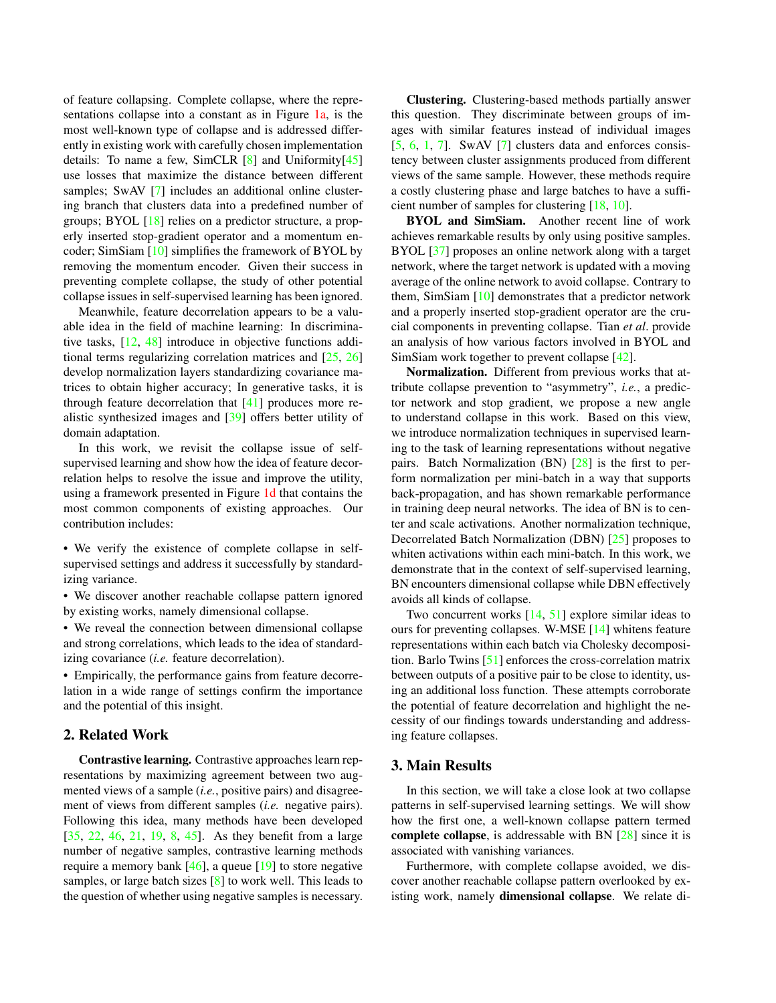<span id="page-1-0"></span>of feature collapsing. Complete collapse, where the repre-sentations collapse into a constant as in Figure [1a,](#page-0-0) is the most well-known type of collapse and is addressed differently in existing work with carefully chosen implementation details: To name a few, SimCLR [\[8\]](#page-8-8) and Uniformity[\[45\]](#page-9-10) use losses that maximize the distance between different samples; SwAV [\[7\]](#page-8-7) includes an additional online clustering branch that clusters data into a predefined number of groups; BYOL [\[18\]](#page-8-10) relies on a predictor structure, a properly inserted stop-gradient operator and a momentum encoder; SimSiam [\[10\]](#page-8-11) simplifies the framework of BYOL by removing the momentum encoder. Given their success in preventing complete collapse, the study of other potential collapse issues in self-supervised learning has been ignored.

Meanwhile, feature decorrelation appears to be a valuable idea in the field of machine learning: In discriminative tasks, [\[12,](#page-8-12) [48\]](#page-9-11) introduce in objective functions additional terms regularizing correlation matrices and [\[25,](#page-9-12) [26\]](#page-9-13) develop normalization layers standardizing covariance matrices to obtain higher accuracy; In generative tasks, it is through feature decorrelation that [\[41\]](#page-9-14) produces more realistic synthesized images and [\[39\]](#page-9-15) offers better utility of domain adaptation.

In this work, we revisit the collapse issue of selfsupervised learning and show how the idea of feature decorrelation helps to resolve the issue and improve the utility, using a framework presented in Figure [1d](#page-0-3) that contains the most common components of existing approaches. Our contribution includes:

• We verify the existence of complete collapse in selfsupervised settings and address it successfully by standardizing variance.

• We discover another reachable collapse pattern ignored by existing works, namely dimensional collapse.

• We reveal the connection between dimensional collapse and strong correlations, which leads to the idea of standardizing covariance (*i.e.* feature decorrelation).

• Empirically, the performance gains from feature decorrelation in a wide range of settings confirm the importance and the potential of this insight.

# 2. Related Work

Contrastive learning. Contrastive approaches learn representations by maximizing agreement between two augmented views of a sample (*i.e.*, positive pairs) and disagreement of views from different samples (*i.e.* negative pairs). Following this idea, many methods have been developed [\[35,](#page-9-9) [22,](#page-8-13) [46,](#page-9-16) [21,](#page-8-14) [19,](#page-8-9) [8,](#page-8-8) [45\]](#page-9-10). As they benefit from a large number of negative samples, contrastive learning methods require a memory bank  $[46]$ , a queue  $[19]$  to store negative samples, or large batch sizes [\[8\]](#page-8-8) to work well. This leads to the question of whether using negative samples is necessary.

Clustering. Clustering-based methods partially answer this question. They discriminate between groups of images with similar features instead of individual images  $[5, 6, 1, 7]$  $[5, 6, 1, 7]$  $[5, 6, 1, 7]$  $[5, 6, 1, 7]$  $[5, 6, 1, 7]$  $[5, 6, 1, 7]$  $[5, 6, 1, 7]$ . SwAV  $[7]$  clusters data and enforces consistency between cluster assignments produced from different views of the same sample. However, these methods require a costly clustering phase and large batches to have a sufficient number of samples for clustering [\[18,](#page-8-10) [10\]](#page-8-11).

BYOL and SimSiam. Another recent line of work achieves remarkable results by only using positive samples. BYOL [\[37\]](#page-9-17) proposes an online network along with a target network, where the target network is updated with a moving average of the online network to avoid collapse. Contrary to them, SimSiam [\[10\]](#page-8-11) demonstrates that a predictor network and a properly inserted stop-gradient operator are the crucial components in preventing collapse. Tian *et al*. provide an analysis of how various factors involved in BYOL and SimSiam work together to prevent collapse [\[42\]](#page-9-18).

Normalization. Different from previous works that attribute collapse prevention to "asymmetry", *i.e.*, a predictor network and stop gradient, we propose a new angle to understand collapse in this work. Based on this view, we introduce normalization techniques in supervised learning to the task of learning representations without negative pairs. Batch Normalization (BN) [\[28\]](#page-9-19) is the first to perform normalization per mini-batch in a way that supports back-propagation, and has shown remarkable performance in training deep neural networks. The idea of BN is to center and scale activations. Another normalization technique, Decorrelated Batch Normalization (DBN) [\[25\]](#page-9-12) proposes to whiten activations within each mini-batch. In this work, we demonstrate that in the context of self-supervised learning, BN encounters dimensional collapse while DBN effectively avoids all kinds of collapse.

Two concurrent works [\[14,](#page-8-15) [51\]](#page-10-0) explore similar ideas to ours for preventing collapses. W-MSE [\[14\]](#page-8-15) whitens feature representations within each batch via Cholesky decomposition. Barlo Twins [\[51\]](#page-10-0) enforces the cross-correlation matrix between outputs of a positive pair to be close to identity, using an additional loss function. These attempts corroborate the potential of feature decorrelation and highlight the necessity of our findings towards understanding and addressing feature collapses.

# 3. Main Results

In this section, we will take a close look at two collapse patterns in self-supervised learning settings. We will show how the first one, a well-known collapse pattern termed complete collapse, is addressable with BN [\[28\]](#page-9-19) since it is associated with vanishing variances.

Furthermore, with complete collapse avoided, we discover another reachable collapse pattern overlooked by existing work, namely dimensional collapse. We relate di-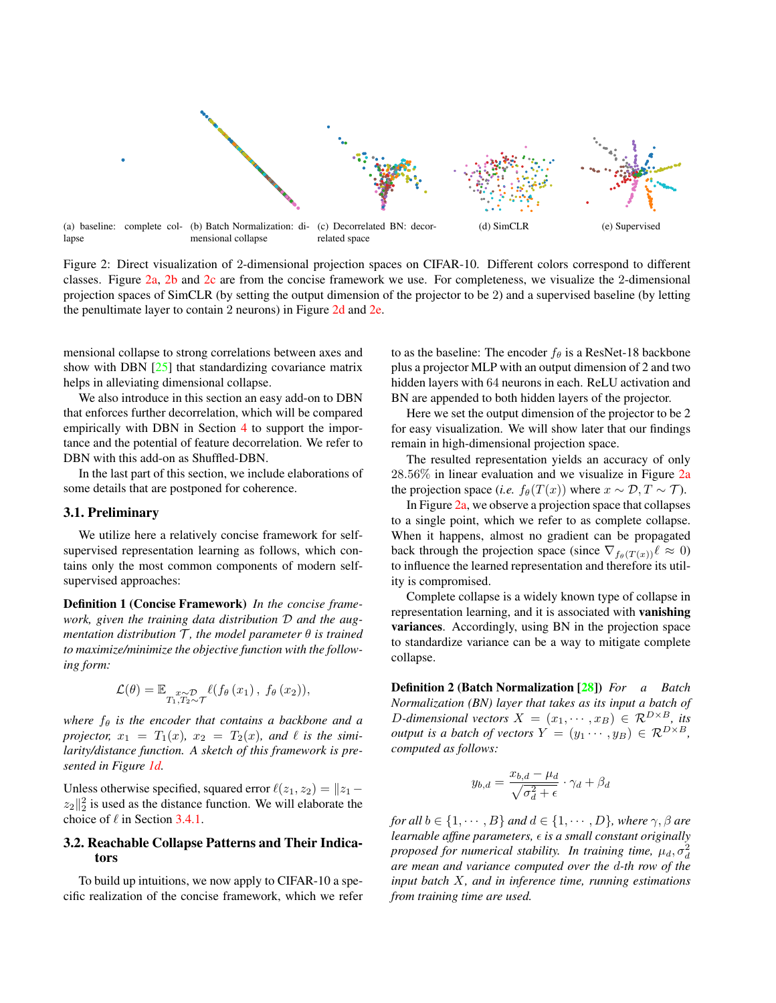<span id="page-2-5"></span><span id="page-2-0"></span>

<span id="page-2-1"></span>Figure 2: Direct visualization of 2-dimensional projection spaces on CIFAR-10. Different colors correspond to different classes. Figure [2a,](#page-2-0) [2b](#page-2-1) and [2c](#page-2-2) are from the concise framework we use. For completeness, we visualize the 2-dimensional projection spaces of SimCLR (by setting the output dimension of the projector to be 2) and a supervised baseline (by letting the penultimate layer to contain 2 neurons) in Figure [2d](#page-2-3) and [2e.](#page-2-4)

mensional collapse to strong correlations between axes and show with DBN [\[25\]](#page-9-12) that standardizing covariance matrix helps in alleviating dimensional collapse.

We also introduce in this section an easy add-on to DBN that enforces further decorrelation, which will be compared empirically with DBN in Section [4](#page-5-0) to support the importance and the potential of feature decorrelation. We refer to DBN with this add-on as Shuffled-DBN.

In the last part of this section, we include elaborations of some details that are postponed for coherence.

#### 3.1. Preliminary

We utilize here a relatively concise framework for selfsupervised representation learning as follows, which contains only the most common components of modern selfsupervised approaches:

Definition 1 (Concise Framework) *In the concise framework, given the training data distribution* D *and the augmentation distribution*  $\mathcal{T}$ *, the model parameter*  $\theta$  *is trained to maximize/minimize the objective function with the following form:*

$$
\mathcal{L}(\theta) = \mathbb{E}_{T_1, T_2 \sim \mathcal{T}} \ell(f_{\theta}(x_1), f_{\theta}(x_2)),
$$

*where*  $f_{\theta}$  *is the encoder that contains a backbone and a projector,*  $x_1 = T_1(x)$ ,  $x_2 = T_2(x)$ , and  $\ell$  *is the similarity/distance function. A sketch of this framework is presented in Figure [1d.](#page-0-3)*

Unless otherwise specified, squared error  $\ell(z_1, z_2) = ||z_1 - z_2||$  $z_2\parallel_2^2$  is used as the distance function. We will elaborate the choice of  $\ell$  in Section [3.4.1.](#page-4-0)

# 3.2. Reachable Collapse Patterns and Their Indicators

To build up intuitions, we now apply to CIFAR-10 a specific realization of the concise framework, which we refer <span id="page-2-4"></span><span id="page-2-3"></span><span id="page-2-2"></span>to as the baseline: The encoder  $f_{\theta}$  is a ResNet-18 backbone plus a projector MLP with an output dimension of 2 and two hidden layers with 64 neurons in each. ReLU activation and BN are appended to both hidden layers of the projector.

Here we set the output dimension of the projector to be 2 for easy visualization. We will show later that our findings remain in high-dimensional projection space.

The resulted representation yields an accuracy of only 28.56% in linear evaluation and we visualize in Figure [2a](#page-2-0) the projection space (*i.e.*  $f_{\theta}(T(x))$  where  $x \sim \mathcal{D}, T \sim \mathcal{T}$ ).

In Figure [2a,](#page-2-0) we observe a projection space that collapses to a single point, which we refer to as complete collapse. When it happens, almost no gradient can be propagated back through the projection space (since  $\nabla_{f_{\theta}(T(x))}\ell \approx 0$ ) to influence the learned representation and therefore its utility is compromised.

Complete collapse is a widely known type of collapse in representation learning, and it is associated with vanishing variances. Accordingly, using BN in the projection space to standardize variance can be a way to mitigate complete collapse.

Definition 2 (Batch Normalization [\[28\]](#page-9-19)) *For a Batch Normalization (BN) layer that takes as its input a batch of* D-dimensional vectors  $X = (x_1, \dots, x_B) \in \mathcal{R}^{D \times B}$ , its *output is a batch of vectors*  $Y = (y_1 \cdots, y_B) \in \mathcal{R}^{D \times B}$ , *computed as follows:*

$$
y_{b,d} = \frac{x_{b,d} - \mu_d}{\sqrt{\sigma_d^2 + \epsilon}} \cdot \gamma_d + \beta_d
$$

*for all*  $b \in \{1, \dots, B\}$  *and*  $d \in \{1, \dots, D\}$ *, where*  $\gamma$ *,*  $\beta$  *are learnable affine parameters,* ϵ *is a small constant originally proposed for numerical stability. In training time,*  $\mu_d, \sigma_d^2$ *are mean and variance computed over the* d*-th row of the input batch* X*, and in inference time, running estimations from training time are used.*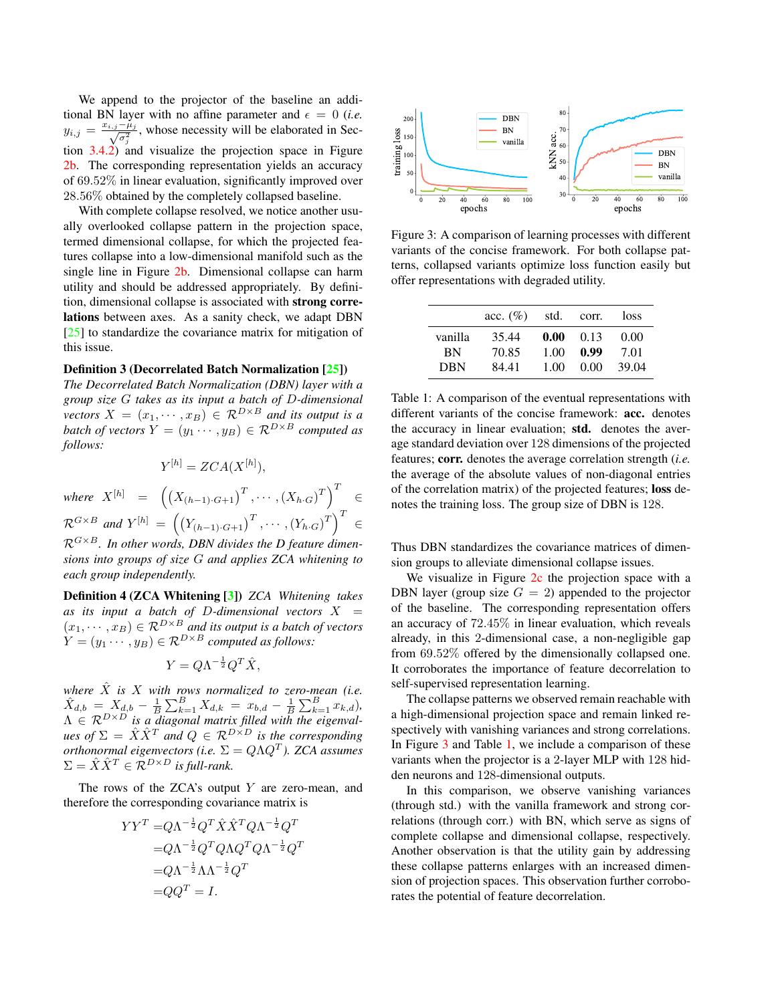<span id="page-3-2"></span>We append to the projector of the baseline an additional BN layer with no affine parameter and  $\epsilon = 0$  (*i.e.*  $y_{i,j} =$  $\frac{x_{i,j}-\mu_j}{\sqrt{\sigma_j^2}}$ , whose necessity will be elaborated in Section [3.4.2\)](#page-5-1) and visualize the projection space in Figure [2b.](#page-2-1) The corresponding representation yields an accuracy of 69.52% in linear evaluation, significantly improved over 28.56% obtained by the completely collapsed baseline.

With complete collapse resolved, we notice another usually overlooked collapse pattern in the projection space, termed dimensional collapse, for which the projected features collapse into a low-dimensional manifold such as the single line in Figure [2b.](#page-2-1) Dimensional collapse can harm utility and should be addressed appropriately. By definition, dimensional collapse is associated with strong correlations between axes. As a sanity check, we adapt DBN [\[25\]](#page-9-12) to standardize the covariance matrix for mitigation of this issue.

#### Definition 3 (Decorrelated Batch Normalization [\[25\]](#page-9-12))

*The Decorrelated Batch Normalization (DBN) layer with a group size* G *takes as its input a batch of* D*-dimensional vectors*  $X = (x_1, \dots, x_B) \in \mathcal{R}^{D \times B}$  *and its output is a batch of vectors*  $Y = (y_1 \cdots, y_B) \in \mathcal{R}^{D \times B}$  *computed as follows:*

$$
Y^{[h]} = ZCA(X^{[h]}),
$$

*where*  $X^{[h]}$  =  $((X_{(h-1)\cdot G+1})^T, \cdots, (X_{h\cdot G})^T)^T$  ∈  $\mathcal{R}^{G\times B}$  and  $Y^{[h]}$  =  $((Y_{(h-1)\cdot G+1})^T, \cdots, (Y_{h\cdot G})^T)^T \in$ 

RG×B*. In other words, DBN divides the D feature dimensions into groups of size* G *and applies ZCA whitening to each group independently.*

Definition 4 (ZCA Whitening [\[3\]](#page-8-16)) *ZCA Whitening takes* as its input a batch of D-dimensional vectors  $X =$  $(x_1, \dots, x_B) \in \mathcal{R}^{D \times B}$  *and its output is a batch of vectors*  $Y = (y_1 \cdots, y_B) \in \mathcal{R}^{D \times B}$  *computed as follows:* 

$$
Y = Q\Lambda^{-\frac{1}{2}}Q^T\hat{X},
$$

*where*  $\hat{X}$  *is*  $X$  *with rows normalized to zero-mean (i.e.*  $\hat{X}_{d,b} = X_{d,b} - \frac{1}{B} \sum_{k=1}^{B} X_{d,k} = x_{b,d} - \frac{1}{B} \sum_{k=1}^{B} x_{k,d}$  $\Lambda \in \mathcal{R}^{D \times D}$  is a diagonal matrix filled with the eigenval*ues of*  $\Sigma = \hat{X}\hat{X}^T$  *and*  $Q \in \mathcal{R}^{D \times D}$  *is the corresponding orthonormal eigenvectors (i.e.*  $\Sigma = Q\Lambda Q^T$ ). ZCA assumes  $\Sigma = \hat{X}\hat{X}^T \in \mathcal{R}^{D \times D}$  is full-rank.

The rows of the  $ZCA$ 's output  $Y$  are zero-mean, and therefore the corresponding covariance matrix is

$$
YYT = Q\Lambda-\frac{1}{2}QT \hat{X} \hat{X}T Q\Lambda-\frac{1}{2} QT= Q\Lambda-\frac{1}{2} QT Q\Lambda QT Q\Lambda-\frac{1}{2} QT= Q\Lambda-\frac{1}{2} \Lambda\Lambda-\frac{1}{2} QT= QQT = I.
$$

<span id="page-3-0"></span>

Figure 3: A comparison of learning processes with different variants of the concise framework. For both collapse patterns, collapsed variants optimize loss function easily but offer representations with degraded utility.

<span id="page-3-1"></span>

|                      | acc. $(\%)$    | std.         | corr.        | loss         |
|----------------------|----------------|--------------|--------------|--------------|
| vanilla<br><b>BN</b> | 35.44<br>70.85 | 0.00<br>1.00 | 0.13<br>0.99 | 0.00<br>7.01 |
| <b>DBN</b>           | 84.41          | 1.00         | 0.00         | 39.04        |

Table 1: A comparison of the eventual representations with different variants of the concise framework: acc. denotes the accuracy in linear evaluation; std. denotes the average standard deviation over 128 dimensions of the projected features; corr. denotes the average correlation strength (*i.e.* the average of the absolute values of non-diagonal entries of the correlation matrix) of the projected features; loss denotes the training loss. The group size of DBN is 128.

Thus DBN standardizes the covariance matrices of dimension groups to alleviate dimensional collapse issues.

We visualize in Figure [2c](#page-2-2) the projection space with a DBN layer (group size  $G = 2$ ) appended to the projector of the baseline. The corresponding representation offers an accuracy of 72.45% in linear evaluation, which reveals already, in this 2-dimensional case, a non-negligible gap from 69.52% offered by the dimensionally collapsed one. It corroborates the importance of feature decorrelation to self-supervised representation learning.

The collapse patterns we observed remain reachable with a high-dimensional projection space and remain linked respectively with vanishing variances and strong correlations. In Figure [3](#page-3-0) and Table [1,](#page-3-1) we include a comparison of these variants when the projector is a 2-layer MLP with 128 hidden neurons and 128-dimensional outputs.

In this comparison, we observe vanishing variances (through std.) with the vanilla framework and strong correlations (through corr.) with BN, which serve as signs of complete collapse and dimensional collapse, respectively. Another observation is that the utility gain by addressing these collapse patterns enlarges with an increased dimension of projection spaces. This observation further corroborates the potential of feature decorrelation.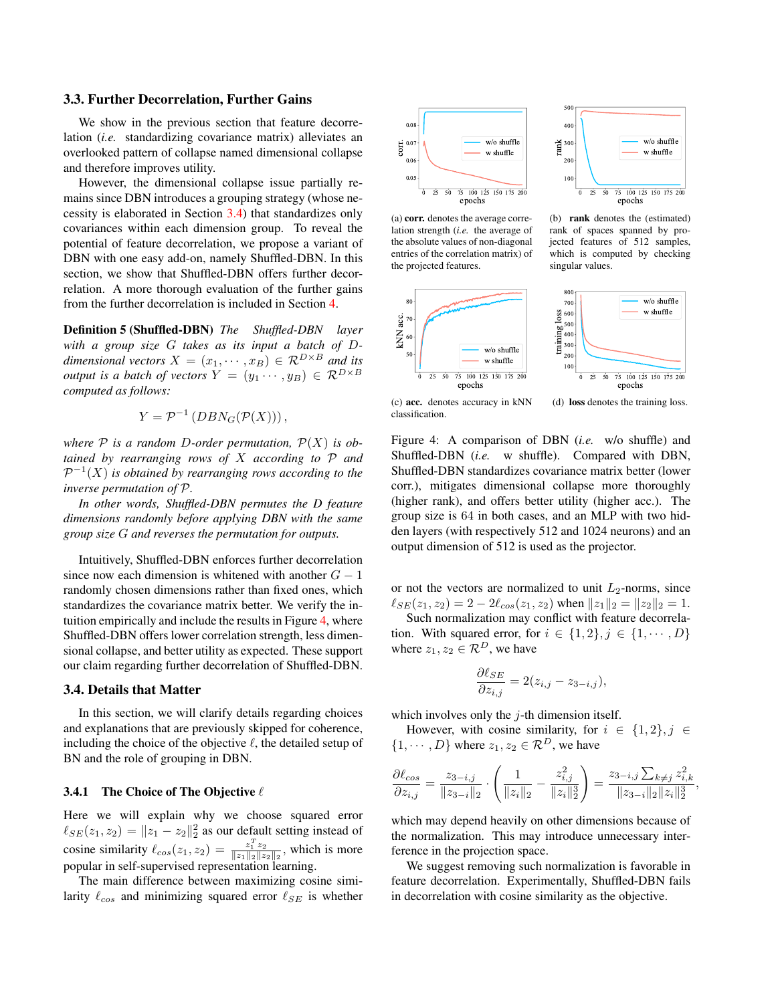#### 3.3. Further Decorrelation, Further Gains

We show in the previous section that feature decorrelation (*i.e.* standardizing covariance matrix) alleviates an overlooked pattern of collapse named dimensional collapse and therefore improves utility.

However, the dimensional collapse issue partially remains since DBN introduces a grouping strategy (whose necessity is elaborated in Section [3.4\)](#page-4-1) that standardizes only covariances within each dimension group. To reveal the potential of feature decorrelation, we propose a variant of DBN with one easy add-on, namely Shuffled-DBN. In this section, we show that Shuffled-DBN offers further decorrelation. A more thorough evaluation of the further gains from the further decorrelation is included in Section [4.](#page-5-0)

Definition 5 (Shuffled-DBN) *The Shuffled-DBN layer with a group size* G *takes as its input a batch of* D*dimensional vectors*  $X = (x_1, \dots, x_B) \in \mathcal{R}^{D \times B}$  *and its output is a batch of vectors*  $Y = (y_1 \cdots, y_B) \in \mathcal{R}^{D \times B}$ *computed as follows:*

$$
Y = \mathcal{P}^{-1}(DBN_G(\mathcal{P}(X))),
$$

where  $P$  *is a random D-order permutation,*  $P(X)$  *is obtained by rearranging rows of* X *according to* P *and*  $\mathcal{P}^{-1}(X)$  is obtained by rearranging rows according to the *inverse permutation of* P*.*

*In other words, Shuffled-DBN permutes the D feature dimensions randomly before applying DBN with the same group size* G *and reverses the permutation for outputs.*

Intuitively, Shuffled-DBN enforces further decorrelation since now each dimension is whitened with another  $G - 1$ randomly chosen dimensions rather than fixed ones, which standardizes the covariance matrix better. We verify the intuition empirically and include the results in Figure [4,](#page-4-2) where Shuffled-DBN offers lower correlation strength, less dimensional collapse, and better utility as expected. These support our claim regarding further decorrelation of Shuffled-DBN.

### <span id="page-4-1"></span>3.4. Details that Matter

In this section, we will clarify details regarding choices and explanations that are previously skipped for coherence, including the choice of the objective  $\ell$ , the detailed setup of BN and the role of grouping in DBN.

#### <span id="page-4-0"></span>3.4.1 The Choice of The Objective  $\ell$

Here we will explain why we choose squared error  $\ell_{SE}(z_1, z_2) = ||z_1 - z_2||_2^2$  as our default setting instead of cosine similarity  $\ell_{cos}(z_1, z_2) = \frac{z_1^T z_2}{\|z_1\|_2\|z_2\|_2}$  $\frac{z_1 z_2}{\|z_1\|_2 \|z_2\|_2}$ , which is more popular in self-supervised representation learning.

The main difference between maximizing cosine similarity  $\ell_{cos}$  and minimizing squared error  $\ell_{SE}$  is whether

<span id="page-4-2"></span>

(a) corr. denotes the average correlation strength (*i.e.* the average of the absolute values of non-diagonal entries of the correlation matrix) of the projected features.





singular values.

(c) acc. denotes accuracy in kNN classification.

(d) loss denotes the training loss.

epochs

Figure 4: A comparison of DBN (*i.e.* w/o shuffle) and Shuffled-DBN (*i.e.* w shuffle). Compared with DBN, Shuffled-DBN standardizes covariance matrix better (lower corr.), mitigates dimensional collapse more thoroughly (higher rank), and offers better utility (higher acc.). The group size is 64 in both cases, and an MLP with two hidden layers (with respectively 512 and 1024 neurons) and an output dimension of 512 is used as the projector.

or not the vectors are normalized to unit  $L_2$ -norms, since  $\ell_{SE}(z_1, z_2) = 2 - 2\ell_{cos}(z_1, z_2)$  when  $||z_1||_2 = ||z_2||_2 = 1$ .

Such normalization may conflict with feature decorrelation. With squared error, for  $i \in \{1,2\}, j \in \{1, \cdots, D\}$ where  $z_1, z_2 \in \mathcal{R}^D$ , we have

$$
\frac{\partial \ell_{SE}}{\partial z_{i,j}} = 2(z_{i,j} - z_{3-i,j}),
$$

which involves only the  $j$ -th dimension itself.

However, with cosine similarity, for  $i \in \{1,2\}, j \in$  $\{1, \dots, D\}$  where  $z_1, z_2 \in \mathcal{R}^D$ , we have

$$
\frac{\partial \ell_{cos}}{\partial z_{i,j}} = \frac{z_{3-i,j}}{\|z_{3-i}\|_2} \cdot \left(\frac{1}{\|z_i\|_2} - \frac{z_{i,j}^2}{\|z_i\|_2^3}\right) = \frac{z_{3-i,j} \sum_{k \neq j} z_{i,k}^2}{\|z_{3-i}\|_2 \|z_i\|_2^3}
$$

which may depend heavily on other dimensions because of the normalization. This may introduce unnecessary interference in the projection space.

We suggest removing such normalization is favorable in feature decorrelation. Experimentally, Shuffled-DBN fails in decorrelation with cosine similarity as the objective.



(b) rank denotes the (estimated) rank of spaces spanned by projected features of 512 samples, which is computed by checking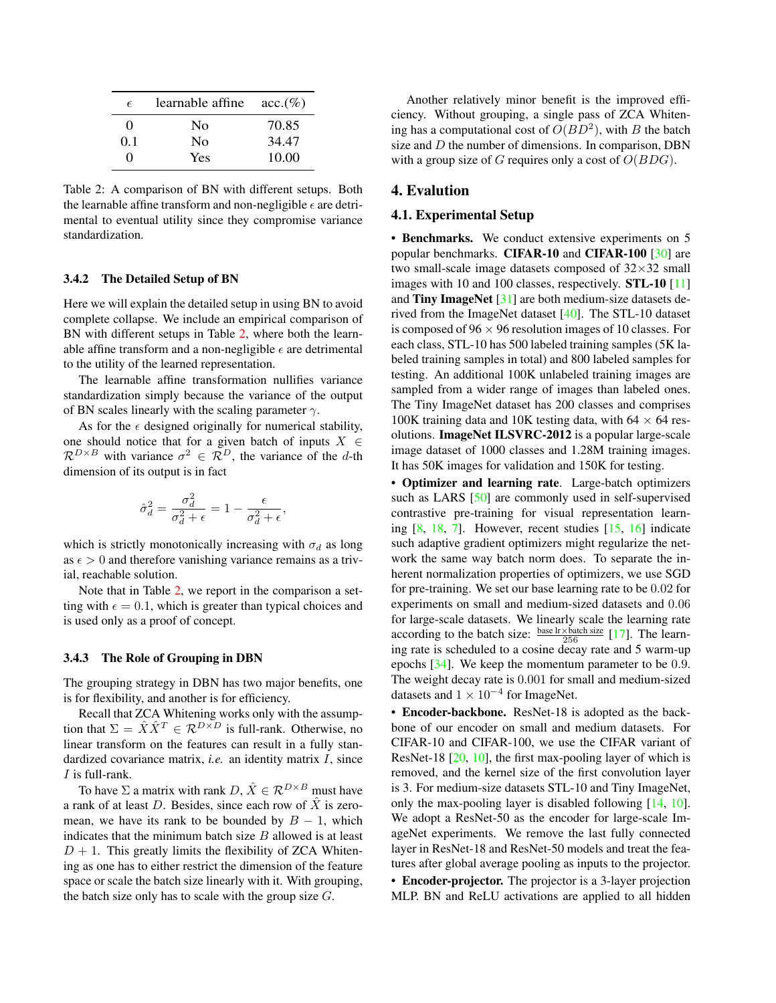<span id="page-5-4"></span><span id="page-5-2"></span>

| F                 | learnable affine | $acc. (\%)$ |
|-------------------|------------------|-------------|
| $\mathbf{\Omega}$ | No               | 70.85       |
| 0.1               | No               | 34.47       |
| 0                 | Yes              | 10.00       |

Table 2: A comparison of BN with different setups. Both the learnable affine transform and non-negligible  $\epsilon$  are detrimental to eventual utility since they compromise variance standardization.

#### <span id="page-5-1"></span>3.4.2 The Detailed Setup of BN

Here we will explain the detailed setup in using BN to avoid complete collapse. We include an empirical comparison of BN with different setups in Table [2,](#page-5-2) where both the learnable affine transform and a non-negligible  $\epsilon$  are detrimental to the utility of the learned representation.

The learnable affine transformation nullifies variance standardization simply because the variance of the output of BN scales linearly with the scaling parameter  $\gamma$ .

As for the  $\epsilon$  designed originally for numerical stability, one should notice that for a given batch of inputs  $X \in$  $\mathcal{R}^{D\times B}$  with variance  $\sigma^2 \in \mathcal{R}^D$ , the variance of the d-th dimension of its output is in fact

$$
\hat{\sigma}_d^2 = \frac{\sigma_d^2}{\sigma_d^2 + \epsilon} = 1 - \frac{\epsilon}{\sigma_d^2 + \epsilon}
$$

which is strictly monotonically increasing with  $\sigma_d$  as long as  $\epsilon > 0$  and therefore vanishing variance remains as a trivial, reachable solution.

Note that in Table [2,](#page-5-2) we report in the comparison a setting with  $\epsilon = 0.1$ , which is greater than typical choices and is used only as a proof of concept.

#### 3.4.3 The Role of Grouping in DBN

The grouping strategy in DBN has two major benefits, one is for flexibility, and another is for efficiency.

Recall that ZCA Whitening works only with the assumption that  $\Sigma = \hat{X}\hat{X}^T \in \mathcal{R}^{D \times D}$  is full-rank. Otherwise, no linear transform on the features can result in a fully standardized covariance matrix, *i.e.* an identity matrix *I*, since  $I$  is full-rank.

To have  $\Sigma$  a matrix with rank  $D, \hat{X} \in \mathcal{R}^{D \times B}$  must have a rank of at least D. Besides, since each row of  $\hat{X}$  is zeromean, we have its rank to be bounded by  $B - 1$ , which indicates that the minimum batch size  $B$  allowed is at least  $D + 1$ . This greatly limits the flexibility of ZCA Whitening as one has to either restrict the dimension of the feature space or scale the batch size linearly with it. With grouping, the batch size only has to scale with the group size  $G$ .

Another relatively minor benefit is the improved efficiency. Without grouping, a single pass of ZCA Whitening has a computational cost of  $O(BD^2)$ , with B the batch size and  $D$  the number of dimensions. In comparison, DBN with a group size of G requires only a cost of  $O(BDG)$ .

# <span id="page-5-0"></span>4. Evalution

# <span id="page-5-3"></span>4.1. Experimental Setup

• Benchmarks. We conduct extensive experiments on 5 popular benchmarks. CIFAR-10 and CIFAR-100 [\[30\]](#page-9-20) are two small-scale image datasets composed of  $32\times32$  small images with 10 and 100 classes, respectively. **STL-10** [\[11\]](#page-8-17) and Tiny ImageNet [\[31\]](#page-9-21) are both medium-size datasets derived from the ImageNet dataset [\[40\]](#page-9-22). The STL-10 dataset is composed of 96  $\times$  96 resolution images of 10 classes. For each class, STL-10 has 500 labeled training samples (5K labeled training samples in total) and 800 labeled samples for testing. An additional 100K unlabeled training images are sampled from a wider range of images than labeled ones. The Tiny ImageNet dataset has 200 classes and comprises 100K training data and 10K testing data, with  $64 \times 64$  resolutions. ImageNet ILSVRC-2012 is a popular large-scale image dataset of 1000 classes and 1.28M training images. It has 50K images for validation and 150K for testing.

• Optimizer and learning rate. Large-batch optimizers such as LARS [\[50\]](#page-9-23) are commonly used in self-supervised contrastive pre-training for visual representation learning  $[8, 18, 7]$  $[8, 18, 7]$  $[8, 18, 7]$  $[8, 18, 7]$  $[8, 18, 7]$ . However, recent studies  $[15, 16]$  $[15, 16]$  $[15, 16]$  indicate such adaptive gradient optimizers might regularize the network the same way batch norm does. To separate the inherent normalization properties of optimizers, we use SGD for pre-training. We set our base learning rate to be 0.02 for experiments on small and medium-sized datasets and 0.06 for large-scale datasets. We linearly scale the learning rate according to the batch size:  $\frac{\text{base}\text{ Ir} \times \text{batch}\text{ size}}{256}$  [\[17\]](#page-8-20). The learning rate is scheduled to a cosine decay rate and 5 warm-up epochs [\[34\]](#page-9-24). We keep the momentum parameter to be 0.9. The weight decay rate is 0.001 for small and medium-sized datasets and  $1 \times 10^{-4}$  for ImageNet.

• Encoder-backbone. ResNet-18 is adopted as the backbone of our encoder on small and medium datasets. For CIFAR-10 and CIFAR-100, we use the CIFAR variant of ResNet-18 [\[20,](#page-8-0) [10\]](#page-8-11), the first max-pooling layer of which is removed, and the kernel size of the first convolution layer is 3. For medium-size datasets STL-10 and Tiny ImageNet, only the max-pooling layer is disabled following [\[14,](#page-8-15) [10\]](#page-8-11). We adopt a ResNet-50 as the encoder for large-scale ImageNet experiments. We remove the last fully connected layer in ResNet-18 and ResNet-50 models and treat the features after global average pooling as inputs to the projector. • Encoder-projector. The projector is a 3-layer projection

MLP. BN and ReLU activations are applied to all hidden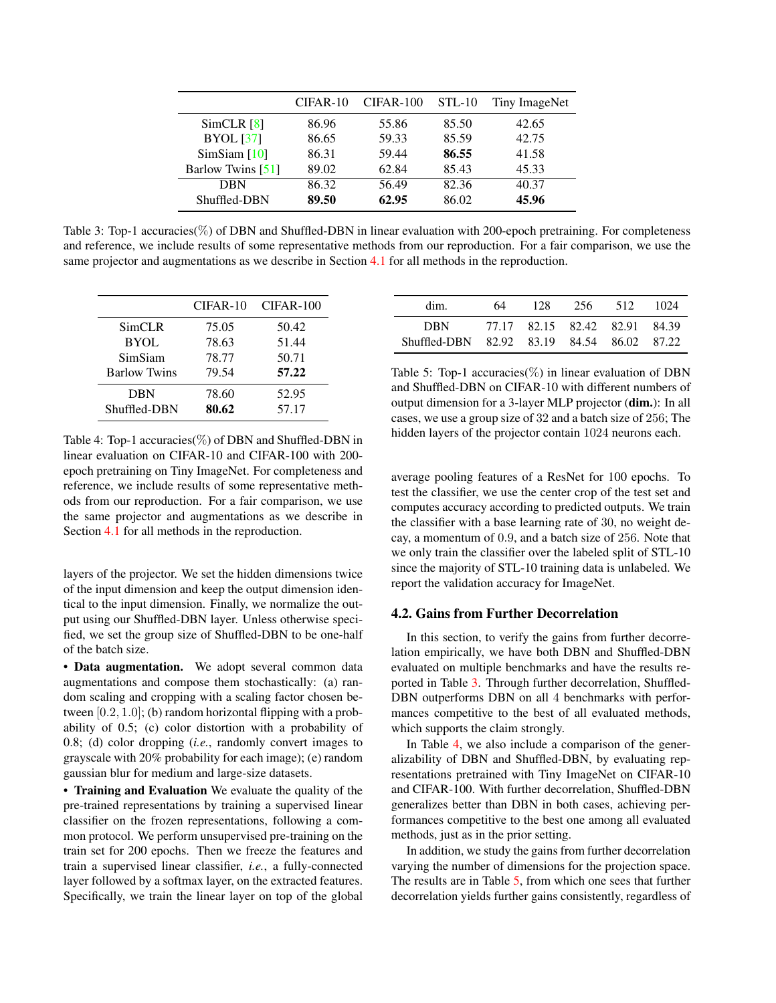<span id="page-6-3"></span><span id="page-6-0"></span>

|                   | $CIFAR-10$ | $CIFAR-100$ | $STL-10$ | Tiny ImageNet |
|-------------------|------------|-------------|----------|---------------|
| SimCLR [8]        | 86.96      | 55.86       | 85.50    | 42.65         |
| <b>BYOL</b> [37]  | 86.65      | 59.33       | 85.59    | 42.75         |
| SimSiam $[10]$    | 86.31      | 59.44       | 86.55    | 41.58         |
| Barlow Twins [51] | 89.02      | 62.84       | 85.43    | 45.33         |
| <b>DBN</b>        | 86.32      | 56.49       | 82.36    | 40.37         |
| Shuffled-DBN      | 89.50      | 62.95       | 86.02    | 45.96         |

Table 3: Top-1 accuracies(%) of DBN and Shuffled-DBN in linear evaluation with 200-epoch pretraining. For completeness and reference, we include results of some representative methods from our reproduction. For a fair comparison, we use the same projector and augmentations as we describe in Section [4.1](#page-5-3) for all methods in the reproduction.

<span id="page-6-1"></span>

|                     | $CIFAR-10$ | $CIFAR-100$ |
|---------------------|------------|-------------|
| SimCLR              | 75.05      | 50.42       |
| <b>BYOL</b>         | 78.63      | 51.44       |
| SimSiam             | 78.77      | 50.71       |
| <b>Barlow Twins</b> | 79.54      | 57.22       |
| <b>DBN</b>          | 78.60      | 52.95       |
| Shuffled-DBN        | 80.62      | 57.17       |

Table 4: Top-1 accuracies( $\%$ ) of DBN and Shuffled-DBN in linear evaluation on CIFAR-10 and CIFAR-100 with 200 epoch pretraining on Tiny ImageNet. For completeness and reference, we include results of some representative methods from our reproduction. For a fair comparison, we use the same projector and augmentations as we describe in Section [4.1](#page-5-3) for all methods in the reproduction.

layers of the projector. We set the hidden dimensions twice of the input dimension and keep the output dimension identical to the input dimension. Finally, we normalize the output using our Shuffled-DBN layer. Unless otherwise specified, we set the group size of Shuffled-DBN to be one-half of the batch size.

• Data augmentation. We adopt several common data augmentations and compose them stochastically: (a) random scaling and cropping with a scaling factor chosen between [0.2, 1.0]; (b) random horizontal flipping with a probability of 0.5; (c) color distortion with a probability of 0.8; (d) color dropping (*i.e.*, randomly convert images to grayscale with 20% probability for each image); (e) random gaussian blur for medium and large-size datasets.

• Training and Evaluation We evaluate the quality of the pre-trained representations by training a supervised linear classifier on the frozen representations, following a common protocol. We perform unsupervised pre-training on the train set for 200 epochs. Then we freeze the features and train a supervised linear classifier, *i.e.*, a fully-connected layer followed by a softmax layer, on the extracted features. Specifically, we train the linear layer on top of the global

<span id="page-6-2"></span>

| dim.                                       | 64    | 128. | 256                     | 512 | 1024 |
|--------------------------------------------|-------|------|-------------------------|-----|------|
| <b>DBN</b>                                 | 77.17 |      | 82.15 82.42 82.91 84.39 |     |      |
| Shuffled-DBN 82.92 83.19 84.54 86.02 87.22 |       |      |                         |     |      |

Table 5: Top-1 accuracies( $\%$ ) in linear evaluation of DBN and Shuffled-DBN on CIFAR-10 with different numbers of output dimension for a 3-layer MLP projector (dim.): In all cases, we use a group size of 32 and a batch size of 256; The hidden layers of the projector contain 1024 neurons each.

average pooling features of a ResNet for 100 epochs. To test the classifier, we use the center crop of the test set and computes accuracy according to predicted outputs. We train the classifier with a base learning rate of 30, no weight decay, a momentum of 0.9, and a batch size of 256. Note that we only train the classifier over the labeled split of STL-10 since the majority of STL-10 training data is unlabeled. We report the validation accuracy for ImageNet.

## 4.2. Gains from Further Decorrelation

In this section, to verify the gains from further decorrelation empirically, we have both DBN and Shuffled-DBN evaluated on multiple benchmarks and have the results reported in Table [3.](#page-6-0) Through further decorrelation, Shuffled-DBN outperforms DBN on all 4 benchmarks with performances competitive to the best of all evaluated methods, which supports the claim strongly.

In Table [4,](#page-6-1) we also include a comparison of the generalizability of DBN and Shuffled-DBN, by evaluating representations pretrained with Tiny ImageNet on CIFAR-10 and CIFAR-100. With further decorrelation, Shuffled-DBN generalizes better than DBN in both cases, achieving performances competitive to the best one among all evaluated methods, just as in the prior setting.

In addition, we study the gains from further decorrelation varying the number of dimensions for the projection space. The results are in Table [5,](#page-6-2) from which one sees that further decorrelation yields further gains consistently, regardless of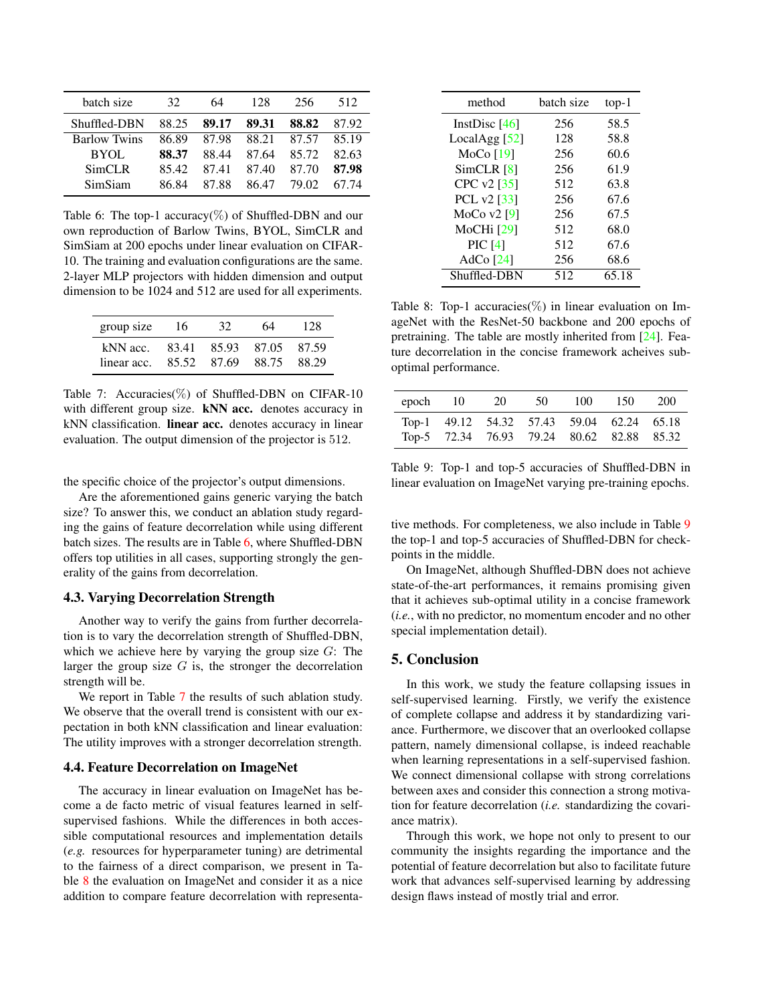<span id="page-7-4"></span><span id="page-7-0"></span>

| batch size          | 32.   | 64    | 128   | 256   | 512   |
|---------------------|-------|-------|-------|-------|-------|
| Shuffled-DBN        | 88.25 | 89.17 | 89.31 | 88.82 | 87.92 |
| <b>Barlow Twins</b> | 86.89 | 87.98 | 88.21 | 87.57 | 85.19 |
| <b>BYOL</b>         | 88.37 | 8844  | 87.64 | 85.72 | 82.63 |
| SimCLR              | 85.42 | 8741  | 87.40 | 87.70 | 87.98 |
| SimSiam             | 86.84 | 87.88 | 86.47 | 79.02 | 67 74 |

Table 6: The top-1 accuracy( $\%$ ) of Shuffled-DBN and our own reproduction of Barlow Twins, BYOL, SimCLR and SimSiam at 200 epochs under linear evaluation on CIFAR-10. The training and evaluation configurations are the same. 2-layer MLP projectors with hidden dimension and output dimension to be 1024 and 512 are used for all experiments.

<span id="page-7-1"></span>

| group size  | 16    | 32    | 64          | 128   |
|-------------|-------|-------|-------------|-------|
| kNN acc.    | 83.41 |       | 85.93 87.05 | 87.59 |
| linear acc. | 85.52 | 87.69 | 88.75       | 88.29 |

Table 7: Accuracies(%) of Shuffled-DBN on CIFAR-10 with different group size. kNN acc. denotes accuracy in kNN classification. linear acc. denotes accuracy in linear evaluation. The output dimension of the projector is 512.

the specific choice of the projector's output dimensions.

Are the aforementioned gains generic varying the batch size? To answer this, we conduct an ablation study regarding the gains of feature decorrelation while using different batch sizes. The results are in Table [6,](#page-7-0) where Shuffled-DBN offers top utilities in all cases, supporting strongly the generality of the gains from decorrelation.

# 4.3. Varying Decorrelation Strength

Another way to verify the gains from further decorrelation is to vary the decorrelation strength of Shuffled-DBN, which we achieve here by varying the group size  $G$ : The larger the group size  $G$  is, the stronger the decorrelation strength will be.

We report in Table [7](#page-7-1) the results of such ablation study. We observe that the overall trend is consistent with our expectation in both kNN classification and linear evaluation: The utility improves with a stronger decorrelation strength.

# 4.4. Feature Decorrelation on ImageNet

The accuracy in linear evaluation on ImageNet has become a de facto metric of visual features learned in selfsupervised fashions. While the differences in both accessible computational resources and implementation details (*e.g.* resources for hyperparameter tuning) are detrimental to the fairness of a direct comparison, we present in Table [8](#page-7-2) the evaluation on ImageNet and consider it as a nice addition to compare feature decorrelation with representa-

<span id="page-7-2"></span>

| method                   | batch size | top-1 |
|--------------------------|------------|-------|
| InstDisc $[46]$          | 256        | 58.5  |
| LocalAgg <sup>[52]</sup> | 128        | 58.8  |
| MoCo $[19]$              | 256        | 60.6  |
| SimCLR [8]               | 256        | 61.9  |
| CPC v2 [35]              | 512        | 63.8  |
| PCL $v2$ [33]            | 256        | 67.6  |
| MoCo $v2$ [9]            | 256        | 67.5  |
| <b>MoCHi</b> [29]        | 512        | 68.0  |
| PIC[4]                   | 512        | 67.6  |
| AdCo $[24]$              | 256        | 68.6  |
| Shuffled-DBN             | 512        | 65.18 |

Table 8: Top-1 accuracies( $\%$ ) in linear evaluation on ImageNet with the ResNet-50 backbone and 200 epochs of pretraining. The table are mostly inherited from [\[24\]](#page-9-2). Feature decorrelation in the concise framework acheives suboptimal performance.

<span id="page-7-3"></span>

| epoch $10$ |                                           | 20 | 50 | 100 | 150 | 200 |
|------------|-------------------------------------------|----|----|-----|-----|-----|
|            | Top-1 49.12 54.32 57.43 59.04 62.24 65.18 |    |    |     |     |     |
|            | Top-5 72.34 76.93 79.24 80.62 82.88 85.32 |    |    |     |     |     |

Table 9: Top-1 and top-5 accuracies of Shuffled-DBN in linear evaluation on ImageNet varying pre-training epochs.

tive methods. For completeness, we also include in Table [9](#page-7-3) the top-1 and top-5 accuracies of Shuffled-DBN for checkpoints in the middle.

On ImageNet, although Shuffled-DBN does not achieve state-of-the-art performances, it remains promising given that it achieves sub-optimal utility in a concise framework (*i.e.*, with no predictor, no momentum encoder and no other special implementation detail).

# 5. Conclusion

In this work, we study the feature collapsing issues in self-supervised learning. Firstly, we verify the existence of complete collapse and address it by standardizing variance. Furthermore, we discover that an overlooked collapse pattern, namely dimensional collapse, is indeed reachable when learning representations in a self-supervised fashion. We connect dimensional collapse with strong correlations between axes and consider this connection a strong motivation for feature decorrelation (*i.e.* standardizing the covariance matrix).

Through this work, we hope not only to present to our community the insights regarding the importance and the potential of feature decorrelation but also to facilitate future work that advances self-supervised learning by addressing design flaws instead of mostly trial and error.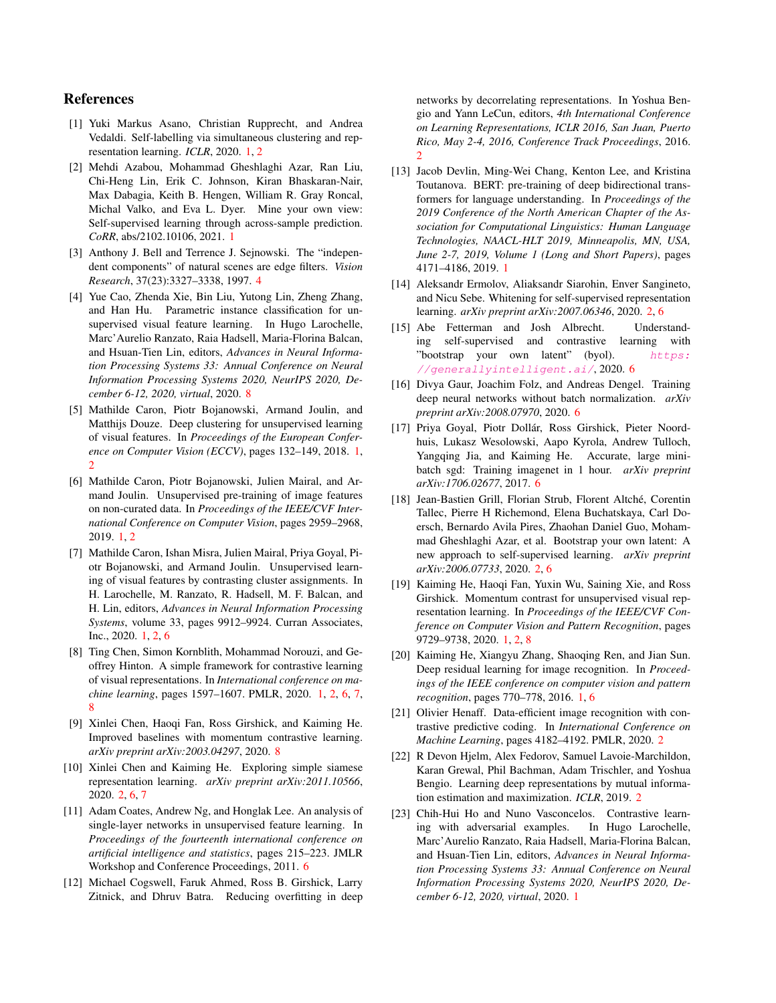# References

- <span id="page-8-6"></span>[1] Yuki Markus Asano, Christian Rupprecht, and Andrea Vedaldi. Self-labelling via simultaneous clustering and representation learning. *ICLR*, 2020. [1,](#page-0-4) [2](#page-1-0)
- <span id="page-8-3"></span>[2] Mehdi Azabou, Mohammad Gheshlaghi Azar, Ran Liu, Chi-Heng Lin, Erik C. Johnson, Kiran Bhaskaran-Nair, Max Dabagia, Keith B. Hengen, William R. Gray Roncal, Michal Valko, and Eva L. Dyer. Mine your own view: Self-supervised learning through across-sample prediction. *CoRR*, abs/2102.10106, 2021. [1](#page-0-4)
- <span id="page-8-16"></span>[3] Anthony J. Bell and Terrence J. Sejnowski. The "independent components" of natural scenes are edge filters. *Vision Research*, 37(23):3327–3338, 1997. [4](#page-3-2)
- <span id="page-8-22"></span>[4] Yue Cao, Zhenda Xie, Bin Liu, Yutong Lin, Zheng Zhang, and Han Hu. Parametric instance classification for unsupervised visual feature learning. In Hugo Larochelle, Marc'Aurelio Ranzato, Raia Hadsell, Maria-Florina Balcan, and Hsuan-Tien Lin, editors, *Advances in Neural Information Processing Systems 33: Annual Conference on Neural Information Processing Systems 2020, NeurIPS 2020, December 6-12, 2020, virtual*, 2020. [8](#page-7-4)
- <span id="page-8-4"></span>[5] Mathilde Caron, Piotr Bojanowski, Armand Joulin, and Matthijs Douze. Deep clustering for unsupervised learning of visual features. In *Proceedings of the European Conference on Computer Vision (ECCV)*, pages 132–149, 2018. [1,](#page-0-4) [2](#page-1-0)
- <span id="page-8-5"></span>[6] Mathilde Caron, Piotr Bojanowski, Julien Mairal, and Armand Joulin. Unsupervised pre-training of image features on non-curated data. In *Proceedings of the IEEE/CVF International Conference on Computer Vision*, pages 2959–2968, 2019. [1,](#page-0-4) [2](#page-1-0)
- <span id="page-8-7"></span>[7] Mathilde Caron, Ishan Misra, Julien Mairal, Priya Goyal, Piotr Bojanowski, and Armand Joulin. Unsupervised learning of visual features by contrasting cluster assignments. In H. Larochelle, M. Ranzato, R. Hadsell, M. F. Balcan, and H. Lin, editors, *Advances in Neural Information Processing Systems*, volume 33, pages 9912–9924. Curran Associates, Inc., 2020. [1,](#page-0-4) [2,](#page-1-0) [6](#page-5-4)
- <span id="page-8-8"></span>[8] Ting Chen, Simon Kornblith, Mohammad Norouzi, and Geoffrey Hinton. A simple framework for contrastive learning of visual representations. In *International conference on machine learning*, pages 1597–1607. PMLR, 2020. [1,](#page-0-4) [2,](#page-1-0) [6,](#page-5-4) [7,](#page-6-3) [8](#page-7-4)
- <span id="page-8-21"></span>[9] Xinlei Chen, Haoqi Fan, Ross Girshick, and Kaiming He. Improved baselines with momentum contrastive learning. *arXiv preprint arXiv:2003.04297*, 2020. [8](#page-7-4)
- <span id="page-8-11"></span>[10] Xinlei Chen and Kaiming He. Exploring simple siamese representation learning. *arXiv preprint arXiv:2011.10566*, 2020. [2,](#page-1-0) [6,](#page-5-4) [7](#page-6-3)
- <span id="page-8-17"></span>[11] Adam Coates, Andrew Ng, and Honglak Lee. An analysis of single-layer networks in unsupervised feature learning. In *Proceedings of the fourteenth international conference on artificial intelligence and statistics*, pages 215–223. JMLR Workshop and Conference Proceedings, 2011. [6](#page-5-4)
- <span id="page-8-12"></span>[12] Michael Cogswell, Faruk Ahmed, Ross B. Girshick, Larry Zitnick, and Dhruv Batra. Reducing overfitting in deep

networks by decorrelating representations. In Yoshua Bengio and Yann LeCun, editors, *4th International Conference on Learning Representations, ICLR 2016, San Juan, Puerto Rico, May 2-4, 2016, Conference Track Proceedings*, 2016. [2](#page-1-0)

- <span id="page-8-1"></span>[13] Jacob Devlin, Ming-Wei Chang, Kenton Lee, and Kristina Toutanova. BERT: pre-training of deep bidirectional transformers for language understanding. In *Proceedings of the 2019 Conference of the North American Chapter of the Association for Computational Linguistics: Human Language Technologies, NAACL-HLT 2019, Minneapolis, MN, USA, June 2-7, 2019, Volume 1 (Long and Short Papers)*, pages 4171–4186, 2019. [1](#page-0-4)
- <span id="page-8-15"></span>[14] Aleksandr Ermolov, Aliaksandr Siarohin, Enver Sangineto, and Nicu Sebe. Whitening for self-supervised representation learning. *arXiv preprint arXiv:2007.06346*, 2020. [2,](#page-1-0) [6](#page-5-4)
- <span id="page-8-18"></span>[15] Abe Fetterman and Josh Albrecht. Understanding self-supervised and contrastive learning with "bootstrap your own latent" (byol). [https:](https://generallyintelligent.ai/) [//generallyintelligent.ai/](https://generallyintelligent.ai/), 2020. [6](#page-5-4)
- <span id="page-8-19"></span>[16] Divya Gaur, Joachim Folz, and Andreas Dengel. Training deep neural networks without batch normalization. *arXiv preprint arXiv:2008.07970*, 2020. [6](#page-5-4)
- <span id="page-8-20"></span>[17] Priya Goyal, Piotr Dollár, Ross Girshick, Pieter Noordhuis, Lukasz Wesolowski, Aapo Kyrola, Andrew Tulloch, Yangqing Jia, and Kaiming He. Accurate, large minibatch sgd: Training imagenet in 1 hour. *arXiv preprint arXiv:1706.02677*, 2017. [6](#page-5-4)
- <span id="page-8-10"></span>[18] Jean-Bastien Grill, Florian Strub, Florent Altché, Corentin Tallec, Pierre H Richemond, Elena Buchatskaya, Carl Doersch, Bernardo Avila Pires, Zhaohan Daniel Guo, Mohammad Gheshlaghi Azar, et al. Bootstrap your own latent: A new approach to self-supervised learning. *arXiv preprint arXiv:2006.07733*, 2020. [2,](#page-1-0) [6](#page-5-4)
- <span id="page-8-9"></span>[19] Kaiming He, Haoqi Fan, Yuxin Wu, Saining Xie, and Ross Girshick. Momentum contrast for unsupervised visual representation learning. In *Proceedings of the IEEE/CVF Conference on Computer Vision and Pattern Recognition*, pages 9729–9738, 2020. [1,](#page-0-4) [2,](#page-1-0) [8](#page-7-4)
- <span id="page-8-0"></span>[20] Kaiming He, Xiangyu Zhang, Shaoqing Ren, and Jian Sun. Deep residual learning for image recognition. In *Proceedings of the IEEE conference on computer vision and pattern recognition*, pages 770–778, 2016. [1,](#page-0-4) [6](#page-5-4)
- <span id="page-8-14"></span>[21] Olivier Henaff. Data-efficient image recognition with contrastive predictive coding. In *International Conference on Machine Learning*, pages 4182–4192. PMLR, 2020. [2](#page-1-0)
- <span id="page-8-13"></span>[22] R Devon Hjelm, Alex Fedorov, Samuel Lavoie-Marchildon, Karan Grewal, Phil Bachman, Adam Trischler, and Yoshua Bengio. Learning deep representations by mutual information estimation and maximization. *ICLR*, 2019. [2](#page-1-0)
- <span id="page-8-2"></span>[23] Chih-Hui Ho and Nuno Vasconcelos. Contrastive learning with adversarial examples. In Hugo Larochelle, Marc'Aurelio Ranzato, Raia Hadsell, Maria-Florina Balcan, and Hsuan-Tien Lin, editors, *Advances in Neural Information Processing Systems 33: Annual Conference on Neural Information Processing Systems 2020, NeurIPS 2020, December 6-12, 2020, virtual*, 2020. [1](#page-0-4)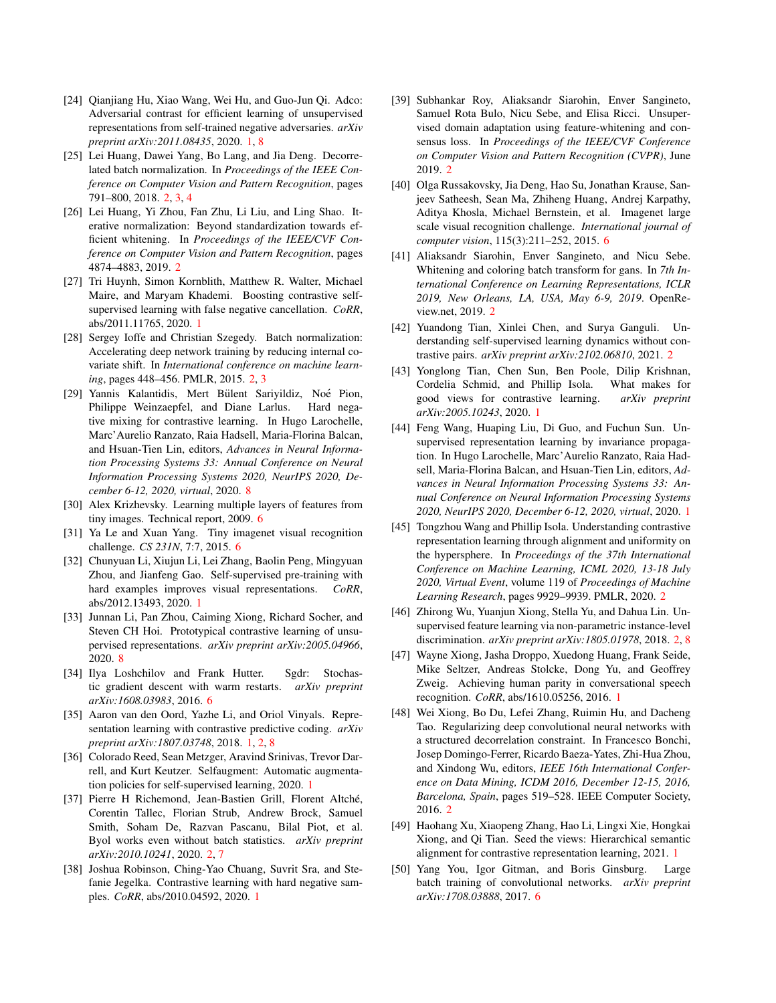- <span id="page-9-2"></span>[24] Oianjiang Hu, Xiao Wang, Wei Hu, and Guo-Jun Oi. Adco: Adversarial contrast for efficient learning of unsupervised representations from self-trained negative adversaries. *arXiv preprint arXiv:2011.08435*, 2020. [1,](#page-0-4) [8](#page-7-4)
- <span id="page-9-12"></span>[25] Lei Huang, Dawei Yang, Bo Lang, and Jia Deng. Decorrelated batch normalization. In *Proceedings of the IEEE Conference on Computer Vision and Pattern Recognition*, pages 791–800, 2018. [2,](#page-1-0) [3,](#page-2-5) [4](#page-3-2)
- <span id="page-9-13"></span>[26] Lei Huang, Yi Zhou, Fan Zhu, Li Liu, and Ling Shao. Iterative normalization: Beyond standardization towards efficient whitening. In *Proceedings of the IEEE/CVF Conference on Computer Vision and Pattern Recognition*, pages 4874–4883, 2019. [2](#page-1-0)
- <span id="page-9-8"></span>[27] Tri Huynh, Simon Kornblith, Matthew R. Walter, Michael Maire, and Maryam Khademi. Boosting contrastive selfsupervised learning with false negative cancellation. *CoRR*, abs/2011.11765, 2020. [1](#page-0-4)
- <span id="page-9-19"></span>[28] Sergey Ioffe and Christian Szegedy. Batch normalization: Accelerating deep network training by reducing internal covariate shift. In *International conference on machine learning*, pages 448–456. PMLR, 2015. [2,](#page-1-0) [3](#page-2-5)
- <span id="page-9-26"></span>[29] Yannis Kalantidis, Mert Bülent Sariyildiz, Noé Pion, Philippe Weinzaepfel, and Diane Larlus. Hard negative mixing for contrastive learning. In Hugo Larochelle, Marc'Aurelio Ranzato, Raia Hadsell, Maria-Florina Balcan, and Hsuan-Tien Lin, editors, *Advances in Neural Information Processing Systems 33: Annual Conference on Neural Information Processing Systems 2020, NeurIPS 2020, December 6-12, 2020, virtual*, 2020. [8](#page-7-4)
- <span id="page-9-20"></span>[30] Alex Krizhevsky. Learning multiple layers of features from tiny images. Technical report, 2009. [6](#page-5-4)
- <span id="page-9-21"></span>[31] Ya Le and Xuan Yang. Tiny imagenet visual recognition challenge. *CS 231N*, 7:7, 2015. [6](#page-5-4)
- <span id="page-9-3"></span>[32] Chunyuan Li, Xiujun Li, Lei Zhang, Baolin Peng, Mingyuan Zhou, and Jianfeng Gao. Self-supervised pre-training with hard examples improves visual representations. *CoRR*, abs/2012.13493, 2020. [1](#page-0-4)
- <span id="page-9-25"></span>[33] Junnan Li, Pan Zhou, Caiming Xiong, Richard Socher, and Steven CH Hoi. Prototypical contrastive learning of unsupervised representations. *arXiv preprint arXiv:2005.04966*, 2020. [8](#page-7-4)
- <span id="page-9-24"></span>[34] Ilya Loshchilov and Frank Hutter. Sgdr: Stochastic gradient descent with warm restarts. *arXiv preprint arXiv:1608.03983*, 2016. [6](#page-5-4)
- <span id="page-9-9"></span>[35] Aaron van den Oord, Yazhe Li, and Oriol Vinyals. Representation learning with contrastive predictive coding. *arXiv preprint arXiv:1807.03748*, 2018. [1,](#page-0-4) [2,](#page-1-0) [8](#page-7-4)
- <span id="page-9-4"></span>[36] Colorado Reed, Sean Metzger, Aravind Srinivas, Trevor Darrell, and Kurt Keutzer. Selfaugment: Automatic augmentation policies for self-supervised learning, 2020. [1](#page-0-4)
- <span id="page-9-17"></span>[37] Pierre H Richemond, Jean-Bastien Grill, Florent Altché, Corentin Tallec, Florian Strub, Andrew Brock, Samuel Smith, Soham De, Razvan Pascanu, Bilal Piot, et al. Byol works even without batch statistics. *arXiv preprint arXiv:2010.10241*, 2020. [2,](#page-1-0) [7](#page-6-3)
- <span id="page-9-7"></span>[38] Joshua Robinson, Ching-Yao Chuang, Suvrit Sra, and Stefanie Jegelka. Contrastive learning with hard negative samples. *CoRR*, abs/2010.04592, 2020. [1](#page-0-4)
- <span id="page-9-15"></span>[39] Subhankar Roy, Aliaksandr Siarohin, Enver Sangineto, Samuel Rota Bulo, Nicu Sebe, and Elisa Ricci. Unsupervised domain adaptation using feature-whitening and consensus loss. In *Proceedings of the IEEE/CVF Conference on Computer Vision and Pattern Recognition (CVPR)*, June 2019. [2](#page-1-0)
- <span id="page-9-22"></span>[40] Olga Russakovsky, Jia Deng, Hao Su, Jonathan Krause, Sanjeev Satheesh, Sean Ma, Zhiheng Huang, Andrej Karpathy, Aditya Khosla, Michael Bernstein, et al. Imagenet large scale visual recognition challenge. *International journal of computer vision*, 115(3):211–252, 2015. [6](#page-5-4)
- <span id="page-9-14"></span>[41] Aliaksandr Siarohin, Enver Sangineto, and Nicu Sebe. Whitening and coloring batch transform for gans. In *7th International Conference on Learning Representations, ICLR 2019, New Orleans, LA, USA, May 6-9, 2019*. OpenReview.net, 2019. [2](#page-1-0)
- <span id="page-9-18"></span>[42] Yuandong Tian, Xinlei Chen, and Surya Ganguli. Understanding self-supervised learning dynamics without contrastive pairs. *arXiv preprint arXiv:2102.06810*, 2021. [2](#page-1-0)
- <span id="page-9-1"></span>[43] Yonglong Tian, Chen Sun, Ben Poole, Dilip Krishnan, Cordelia Schmid, and Phillip Isola. What makes for good views for contrastive learning. *arXiv preprint arXiv:2005.10243*, 2020. [1](#page-0-4)
- <span id="page-9-6"></span>[44] Feng Wang, Huaping Liu, Di Guo, and Fuchun Sun. Unsupervised representation learning by invariance propagation. In Hugo Larochelle, Marc'Aurelio Ranzato, Raia Hadsell, Maria-Florina Balcan, and Hsuan-Tien Lin, editors, *Advances in Neural Information Processing Systems 33: Annual Conference on Neural Information Processing Systems 2020, NeurIPS 2020, December 6-12, 2020, virtual*, 2020. [1](#page-0-4)
- <span id="page-9-10"></span>[45] Tongzhou Wang and Phillip Isola. Understanding contrastive representation learning through alignment and uniformity on the hypersphere. In *Proceedings of the 37th International Conference on Machine Learning, ICML 2020, 13-18 July 2020, Virtual Event*, volume 119 of *Proceedings of Machine Learning Research*, pages 9929–9939. PMLR, 2020. [2](#page-1-0)
- <span id="page-9-16"></span>[46] Zhirong Wu, Yuanjun Xiong, Stella Yu, and Dahua Lin. Unsupervised feature learning via non-parametric instance-level discrimination. *arXiv preprint arXiv:1805.01978*, 2018. [2,](#page-1-0) [8](#page-7-4)
- <span id="page-9-0"></span>[47] Wayne Xiong, Jasha Droppo, Xuedong Huang, Frank Seide, Mike Seltzer, Andreas Stolcke, Dong Yu, and Geoffrey Zweig. Achieving human parity in conversational speech recognition. *CoRR*, abs/1610.05256, 2016. [1](#page-0-4)
- <span id="page-9-11"></span>[48] Wei Xiong, Bo Du, Lefei Zhang, Ruimin Hu, and Dacheng Tao. Regularizing deep convolutional neural networks with a structured decorrelation constraint. In Francesco Bonchi, Josep Domingo-Ferrer, Ricardo Baeza-Yates, Zhi-Hua Zhou, and Xindong Wu, editors, *IEEE 16th International Conference on Data Mining, ICDM 2016, December 12-15, 2016, Barcelona, Spain*, pages 519–528. IEEE Computer Society, 2016. [2](#page-1-0)
- <span id="page-9-5"></span>[49] Haohang Xu, Xiaopeng Zhang, Hao Li, Lingxi Xie, Hongkai Xiong, and Qi Tian. Seed the views: Hierarchical semantic alignment for contrastive representation learning, 2021. [1](#page-0-4)
- <span id="page-9-23"></span>[50] Yang You, Igor Gitman, and Boris Ginsburg. Large batch training of convolutional networks. *arXiv preprint arXiv:1708.03888*, 2017. [6](#page-5-4)